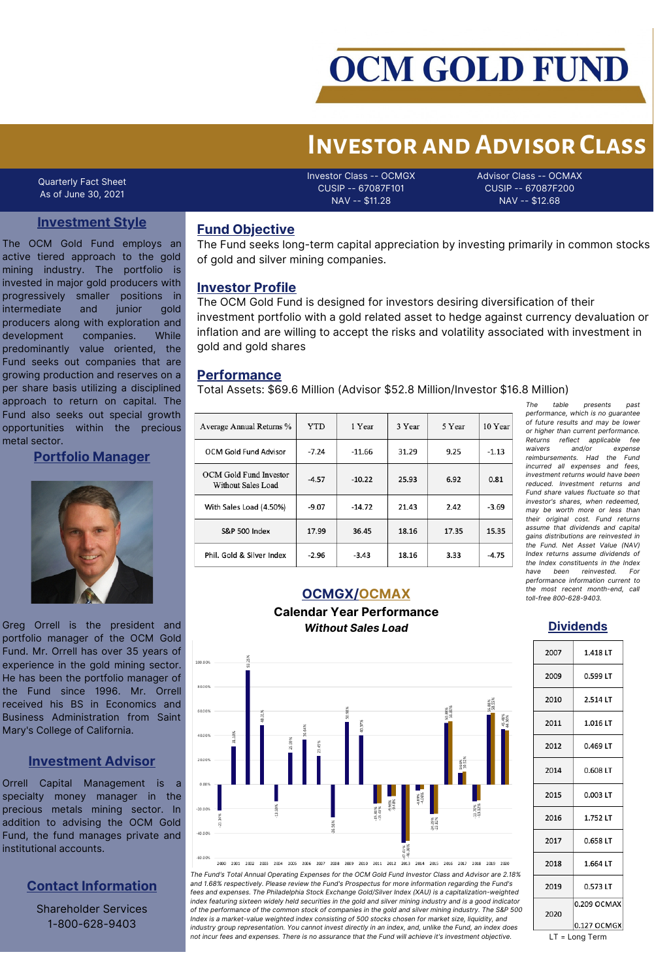

# **Investor and Advisor Class**

Quarterly Fact Sheet As of June 30, 2021

Investor Class -- OCMGX CUSIP -- 67087F101 NAV -- \$11.28

Advisor Class -- OCMAX CUSIP -- 67087F200 NAV -- \$12.68

## **Investment Style**

The OCM Gold Fund employs an active tiered approach to the gold mining industry. The portfolio is invested in major gold producers with progressively smaller positions in intermediate and junior gold producers along with exploration and development companies. While predominantly value oriented, the Fund seeks out companies that are growing production and reserves on a per share basis utilizing a disciplined approach to return on capital. The Fund also seeks out special growth opportunities within the precious metal sector.

#### **Portfolio Manager**



Greg Orrell is the president and portfolio manager of the OCM Gold Fund. Mr. Orrell has over 35 years of experience in the gold mining sector. He has been the portfolio manager of the Fund since 1996. Mr. Orrell received his BS in Economics and Business Administration from Saint Mary's College of California.

#### **Investment Advisor**

Orrell Capital Management is a specialty money manager in the precious metals mining sector. In addition to advising the OCM Gold Fund, the fund manages private and institutional accounts.

## **Contact Information**

Shareholder Services 1-800-628-9403

#### **Fund Objective**

The Fund seeks long-term capital appreciation by investing primarily in common stocks of gold and silver mining companies.

#### **Investor Profile**

The OCM Gold Fund is designed for investors desiring diversification of their investment portfolio with a gold related asset to hedge against currency devaluation or inflation and are willing to accept the risks and volatility associated with investment in gold and gold shares

#### **Performance**

Total Assets: \$69.6 Million (Advisor \$52.8 Million/Investor \$16.8 Million)

| Average Annual Returns %                                   | <b>YTD</b> | 1 Year   | 3 Year | 5 Year | 10 Year |
|------------------------------------------------------------|------------|----------|--------|--------|---------|
| <b>OCM Gold Fund Advisor</b>                               | $-7.24$    | $-11.66$ | 31.29  | 9.25   | $-1.13$ |
| <b>OCM Gold Fund Investor</b><br><b>Without Sales Load</b> | $-4.57$    | $-10.22$ | 25.93  | 6.92   | 0.81    |
| With Sales Load (4.50%)                                    | $-9.07$    | $-14.72$ | 21.43  | 2.42   | $-3.69$ |
| <b>S&amp;P 500 Index</b>                                   | 17.99      | 36.45    | 18.16  | 17.35  | 15.35   |
| Phil. Gold & Silver Index                                  | $-2.96$    | $-3.43$  | 18.16  | 3.33   | $-4.75$ |

 $table$  *presents performance, which is no guarantee of future results and may be lower or higher than current performance. Returns reflect applicable fee waivers and/or expense reimbursements. Had the Fund incurred all expenses and fees, investment returns would have been reduced. Investment returns and Fund share values fluctuate so that investor's shares, when redeemed, may be worth more or less than their original cost. Fund returns assume that dividends and capital gains distributions are reinvested in the Fund. Net Asset Value (NAV) Index returns assume dividends of the Index constituents in the Index*  $reinvested.$ *performance information current to the most recent month-end, call toll-free 800-628-9403.*

#### **OCMGX/OCMAX**

#### **Calendar Year Performance** *Without Sales Load*



*The Fund's Total Annual Operating Expenses for the OCM Gold Fund Investor Class and Advisor are 2.18% and 1.68% respectively. Please review the Fund's Prospectus for more information regarding the Fund's fees and expenses. The Philadelphia Stock Exchange Gold/Silver Index (XAU) is a capitalization-weighted* index featuring sixteen widely held securities in the gold and silver mining industry and is a good indicator of the performance of the common stock of companies in the gold and silver mining industry. The S&P 500 *Index is a market-value weighted index consisting of 500 stocks chosen for market size, liquidity, and* industry group representation. You cannot invest directly in an index, and, unlike the Fund, an index does not incur fees and expenses. There is no assurance that the Fund will achieve it's investment objective. LT = Long Term

#### **Dividends**

| 2007 | 1.418 LT    |
|------|-------------|
| 2009 | 0.599 LT    |
| 2010 | 2.514 LT    |
| 2011 | 1.016 LT    |
| 2012 | 0.469 LT    |
| 2014 | 0.608 LT    |
| 2015 | 0.003 LT    |
| 2016 | 1.752 LT    |
| 2017 | 0.658 LT    |
| 2018 | 1.664 LT    |
| 2019 | 0.573 LT    |
| 2020 | 0.209 OCMAX |
|      | 0.127 OCMGX |